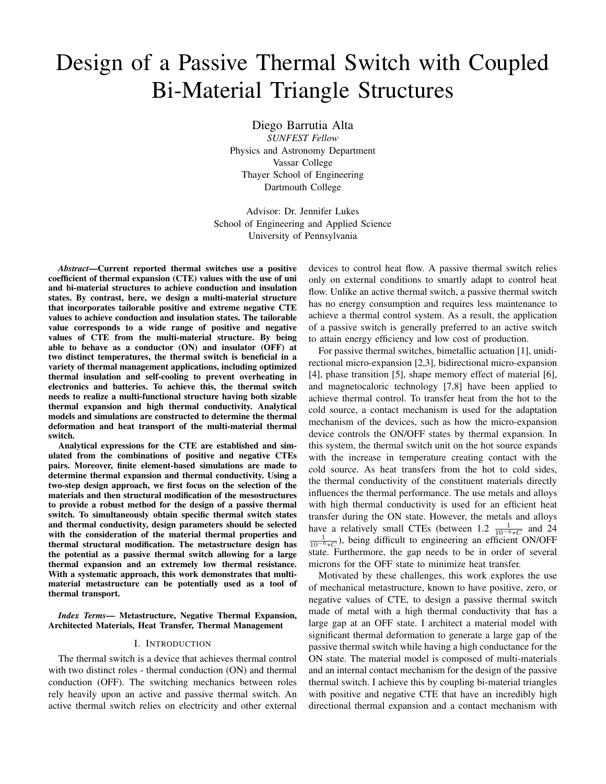# Design of a Passive Thermal Switch with Coupled Bi-Material Triangle Structures

Diego Barrutia Alta *SUNFEST Fellow*

Physics and Astronomy Department Vassar College Thayer School of Engineering Dartmouth College

Advisor: Dr. Jennifer Lukes School of Engineering and Applied Science University of Pennsylvania

*Abstract*—Current reported thermal switches use a positive coefficient of thermal expansion (CTE) values with the use of uni and bi-material structures to achieve conduction and insulation states. By contrast, here, we design a multi-material structure that incorporates tailorable positive and extreme negative CTE values to achieve conduction and insulation states. The tailorable value corresponds to a wide range of positive and negative values of CTE from the multi-material structure. By being able to behave as a conductor (ON) and insulator (OFF) at two distinct temperatures, the thermal switch is beneficial in a variety of thermal management applications, including optimized thermal insulation and self-cooling to prevent overheating in electronics and batteries. To achieve this, the thermal switch needs to realize a multi-functional structure having both sizable thermal expansion and high thermal conductivity. Analytical models and simulations are constructed to determine the thermal deformation and heat transport of the multi-material thermal switch.

Analytical expressions for the CTE are established and simulated from the combinations of positive and negative CTEs pairs. Moreover, finite element-based simulations are made to determine thermal expansion and thermal conductivity. Using a two-step design approach, we first focus on the selection of the materials and then structural modification of the mesostructures to provide a robust method for the design of a passive thermal switch. To simultaneously obtain specific thermal switch states and thermal conductivity, design parameters should be selected with the consideration of the material thermal properties and thermal structural modification. The metastructure design has the potential as a passive thermal switch allowing for a large thermal expansion and an extremely low thermal resistance. With a systematic approach, this work demonstrates that multimaterial metastructure can be potentially used as a tool of thermal transport.

*Index Terms*— Metastructure, Negative Thermal Expansion, Architected Materials, Heat Transfer, Thermal Management

#### I. INTRODUCTION

The thermal switch is a device that achieves thermal control with two distinct roles - thermal conduction (ON) and thermal conduction (OFF). The switching mechanics between roles rely heavily upon an active and passive thermal switch. An active thermal switch relies on electricity and other external devices to control heat flow. A passive thermal switch relies only on external conditions to smartly adapt to control heat flow. Unlike an active thermal switch, a passive thermal switch has no energy consumption and requires less maintenance to achieve a thermal control system. As a result, the application of a passive switch is generally preferred to an active switch to attain energy efficiency and low cost of production.

For passive thermal switches, bimetallic actuation [1], unidirectional micro-expansion [2,3], bidirectional micro-expansion [4], phase transition [5], shape memory effect of material [6], and magnetocaloric technology [7,8] have been applied to achieve thermal control. To transfer heat from the hot to the cold source, a contact mechanism is used for the adaptation mechanism of the devices, such as how the micro-expansion device controls the ON/OFF states by thermal expansion. In this system, the thermal switch unit on the hot source expands with the increase in temperature creating contact with the cold source. As heat transfers from the hot to cold sides, the thermal conductivity of the constituent materials directly influences the thermal performance. The use metals and alloys with high thermal conductivity is used for an efficient heat transfer during the ON state. However, the metals and alloys have a relatively small CTEs (between 1.2  $\frac{1}{10^{-6} * C}$  and 24  $\frac{1}{10^{-6} * C}$ ), being difficult to engineering an efficient ON/OFF state. Furthermore, the gap needs to be in order of several microns for the OFF state to minimize heat transfer.

Motivated by these challenges, this work explores the use of mechanical metastructure, known to have positive, zero, or negative values of CTE, to design a passive thermal switch made of metal with a high thermal conductivity that has a large gap at an OFF state. I architect a material model with significant thermal deformation to generate a large gap of the passive thermal switch while having a high conductance for the ON state. The material model is composed of multi-materials and an internal contact mechanism for the design of the passive thermal switch. I achieve this by coupling bi-material triangles with positive and negative CTE that have an incredibly high directional thermal expansion and a contact mechanism with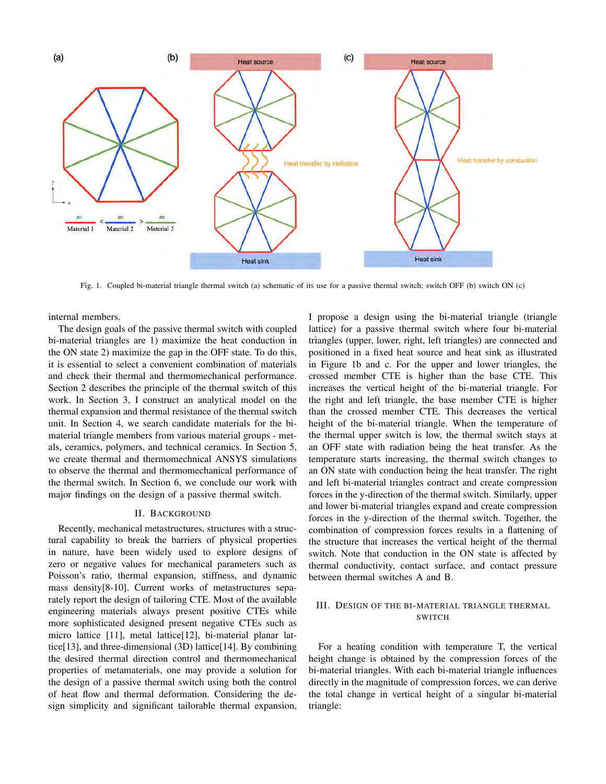

Fig. 1. Coupled bi-material triangle thermal switch (a) schematic of its use for a passive thermal switch; switch OFF (b) switch ON (c)

internal members.

The design goals of the passive thermal switch with coupled bi-material triangles are 1) maximize the heat conduction in the ON state 2) maximize the gap in the OFF state. To do this, it is essential to select a convenient combination of materials and check their thermal and thermomechanical performance. Section 2 describes the principle of the thermal switch of this work. In Section 3, I construct an analytical model on the thermal expansion and thermal resistance of the thermal switch unit. In Section 4, we search candidate materials for the bimaterial triangle members from various material groups - metals, ceramics, polymers, and technical ceramics. In Section 5, we create thermal and thermomechnical ANSYS simulations to observe the thermal and thermomechanical performance of the thermal switch. In Section 6, we conclude our work with major findings on the design of a passive thermal switch.

#### II. BACKGROUND

Recently, mechanical metastructures, structures with a structural capability to break the barriers of physical properties in nature, have been widely used to explore designs of zero or negative values for mechanical parameters such as Poisson's ratio, thermal expansion, stiffness, and dynamic mass density[8-10]. Current works of metastructures separately report the design of tailoring CTE. Most of the available engineering materials always present positive CTEs while more sophisticated designed present negative CTEs such as micro lattice [11], metal lattice[12], bi-material planar lattice[13], and three-dimensional (3D) lattice[14]. By combining the desired thermal direction control and thermomechanical properties of metamaterials, one may provide a solution for the design of a passive thermal switch using both the control of heat flow and thermal deformation. Considering the design simplicity and significant tailorable thermal expansion, I propose a design using the bi-material triangle (triangle lattice) for a passive thermal switch where four bi-material triangles (upper, lower, right, left triangles) are connected and positioned in a fixed heat source and heat sink as illustrated in Figure 1b and c. For the upper and lower triangles, the crossed member CTE is higher than the base CTE. This increases the vertical height of the bi-material triangle. For the right and left triangle, the base member CTE is higher than the crossed member CTE. This decreases the vertical height of the bi-material triangle. When the temperature of the thermal upper switch is low, the thermal switch stays at an OFF state with radiation being the heat transfer. As the temperature starts increasing, the thermal switch changes to an ON state with conduction being the heat transfer. The right and left bi-material triangles contract and create compression forces in the y-direction of the thermal switch. Similarly, upper and lower bi-material triangles expand and create compression forces in the y-direction of the thermal switch. Together, the combination of compression forces results in a flattening of the structure that increases the vertical height of the thermal switch. Note that conduction in the ON state is affected by thermal conductivity, contact surface, and contact pressure between thermal switches A and B.

## III. DESIGN OF THE BI-MATERIAL TRIANGLE THERMAL SWITCH

For a heating condition with temperature T, the vertical height change is obtained by the compression forces of the bi-material triangles. With each bi-material triangle influences directly in the magnitude of compression forces, we can derive the total change in vertical height of a singular bi-material triangle: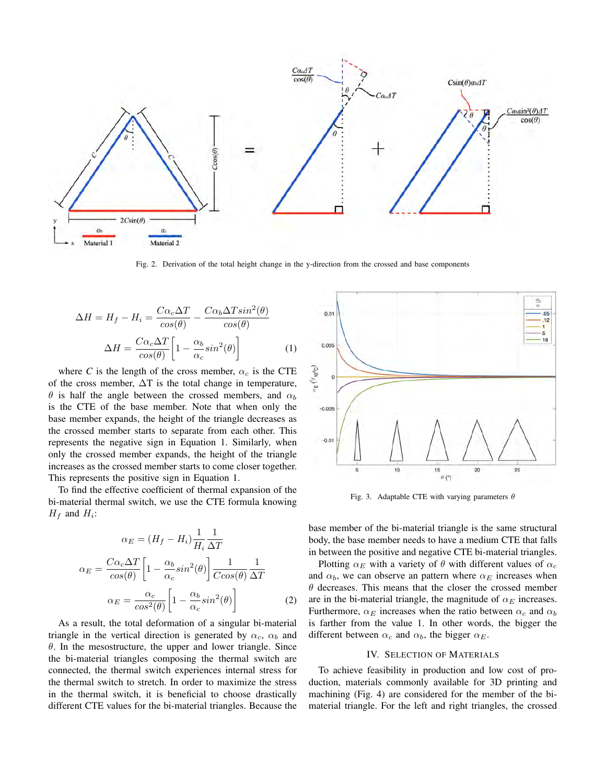

Fig. 2. Derivation of the total height change in the y-direction from the crossed and base components

$$
\Delta H = H_f - H_i = \frac{C\alpha_c \Delta T}{\cos(\theta)} - \frac{C\alpha_b \Delta T \sin^2(\theta)}{\cos(\theta)}
$$

$$
\Delta H = \frac{C\alpha_c \Delta T}{\cos(\theta)} \left[ 1 - \frac{\alpha_b}{\alpha_c} \sin^2(\theta) \right] \tag{1}
$$

where *C* is the length of the cross member,  $\alpha_c$  is the CTE of the cross member,  $\Delta T$  is the total change in temperature,  $\theta$  is half the angle between the crossed members, and  $\alpha_b$ is the CTE of the base member. Note that when only the base member expands, the height of the triangle decreases as the crossed member starts to separate from each other. This represents the negative sign in Equation 1. Similarly, when only the crossed member expands, the height of the triangle increases as the crossed member starts to come closer together. This represents the positive sign in Equation 1.

To find the effective coefficient of thermal expansion of the bi-material thermal switch, we use the CTE formula knowing  $H_f$  and  $H_i$ :

$$
\alpha_E = (H_f - H_i) \frac{1}{H_i} \frac{1}{\Delta T}
$$

$$
\alpha_E = \frac{C \alpha_c \Delta T}{\cos(\theta)} \left[ 1 - \frac{\alpha_b}{\alpha_c} \sin^2(\theta) \right] \frac{1}{C \cos(\theta)} \frac{1}{\Delta T}
$$

$$
\alpha_E = \frac{\alpha_c}{\cos^2(\theta)} \left[ 1 - \frac{\alpha_b}{\alpha_c} \sin^2(\theta) \right]
$$
(2)

As a result, the total deformation of a singular bi-material triangle in the vertical direction is generated by  $\alpha_c$ ,  $\alpha_b$  and  $\theta$ . In the mesostructure, the upper and lower triangle. Since the bi-material triangles composing the thermal switch are connected, the thermal switch experiences internal stress for the thermal switch to stretch. In order to maximize the stress in the thermal switch, it is beneficial to choose drastically different CTE values for the bi-material triangles. Because the



Fig. 3. Adaptable CTE with varying parameters  $\theta$ 

base member of the bi-material triangle is the same structural body, the base member needs to have a medium CTE that falls in between the positive and negative CTE bi-material triangles.

Plotting  $\alpha_E$  with a variety of  $\theta$  with different values of  $\alpha_c$ and  $\alpha_b$ , we can observe an pattern where  $\alpha_E$  increases when  $\theta$  decreases. This means that the closer the crossed member are in the bi-material triangle, the magnitude of  $\alpha_E$  increases. Furthermore,  $\alpha_E$  increases when the ratio between  $\alpha_c$  and  $\alpha_b$ is farther from the value 1. In other words, the bigger the different between  $\alpha_c$  and  $\alpha_b$ , the bigger  $\alpha_E$ .

## IV. SELECTION OF MATERIALS

To achieve feasibility in production and low cost of production, materials commonly available for 3D printing and machining (Fig. 4) are considered for the member of the bimaterial triangle. For the left and right triangles, the crossed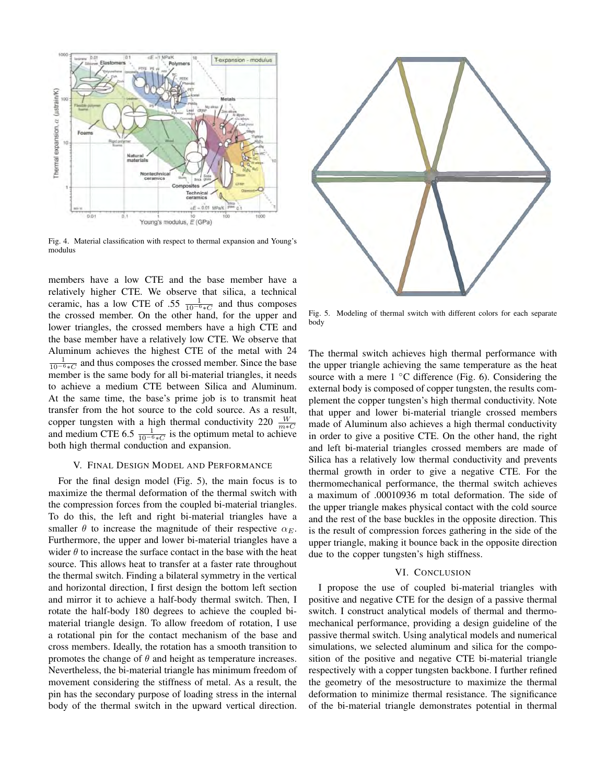

Fig. 4. Material classification with respect to thermal expansion and Young's modulus

members have a low CTE and the base member have a relatively higher CTE. We observe that silica, a technical ceramic, has a low CTE of .55  $\frac{1}{10^{-6}*C}$  and thus composes the crossed member. On the other hand, for the upper and lower triangles, the crossed members have a high CTE and the base member have a relatively low CTE. We observe that Aluminum achieves the highest CTE of the metal with 24  $\frac{1}{10^{-6}$  ∗C</sub> and thus composes the crossed member. Since the base member is the same body for all bi-material triangles, it needs to achieve a medium CTE between Silica and Aluminum. At the same time, the base's prime job is to transmit heat transfer from the hot source to the cold source. As a result, copper tungsten with a high thermal conductivity 220  $\frac{W}{m*C}$ <br>and medium CTE 6.5  $\frac{1}{10^{-6}*C}$  is the optimum metal to achieve both high thermal conduction and expansion.

### V. FINAL DESIGN MODEL AND PERFORMANCE

For the final design model (Fig. 5), the main focus is to maximize the thermal deformation of the thermal switch with the compression forces from the coupled bi-material triangles. To do this, the left and right bi-material triangles have a smaller  $\theta$  to increase the magnitude of their respective  $\alpha_E$ . Furthermore, the upper and lower bi-material triangles have a wider  $\theta$  to increase the surface contact in the base with the heat source. This allows heat to transfer at a faster rate throughout the thermal switch. Finding a bilateral symmetry in the vertical and horizontal direction, I first design the bottom left section and mirror it to achieve a half-body thermal switch. Then, I rotate the half-body 180 degrees to achieve the coupled bimaterial triangle design. To allow freedom of rotation, I use a rotational pin for the contact mechanism of the base and cross members. Ideally, the rotation has a smooth transition to promotes the change of  $\theta$  and height as temperature increases. Nevertheless, the bi-material triangle has minimum freedom of movement considering the stiffness of metal. As a result, the pin has the secondary purpose of loading stress in the internal body of the thermal switch in the upward vertical direction.



Fig. 5. Modeling of thermal switch with different colors for each separate body

The thermal switch achieves high thermal performance with the upper triangle achieving the same temperature as the heat source with a mere  $1 \,^{\circ}\text{C}$  difference (Fig. 6). Considering the external body is composed of copper tungsten, the results complement the copper tungsten's high thermal conductivity. Note that upper and lower bi-material triangle crossed members made of Aluminum also achieves a high thermal conductivity in order to give a positive CTE. On the other hand, the right and left bi-material triangles crossed members are made of Silica has a relatively low thermal conductivity and prevents thermal growth in order to give a negative CTE. For the thermomechanical performance, the thermal switch achieves a maximum of .00010936 m total deformation. The side of the upper triangle makes physical contact with the cold source and the rest of the base buckles in the opposite direction. This is the result of compression forces gathering in the side of the upper triangle, making it bounce back in the opposite direction due to the copper tungsten's high stiffness.

# VI. CONCLUSION

I propose the use of coupled bi-material triangles with positive and negative CTE for the design of a passive thermal switch. I construct analytical models of thermal and thermomechanical performance, providing a design guideline of the passive thermal switch. Using analytical models and numerical simulations, we selected aluminum and silica for the composition of the positive and negative CTE bi-material triangle respectively with a copper tungsten backbone. I further refined the geometry of the mesostructure to maximize the thermal deformation to minimize thermal resistance. The significance of the bi-material triangle demonstrates potential in thermal